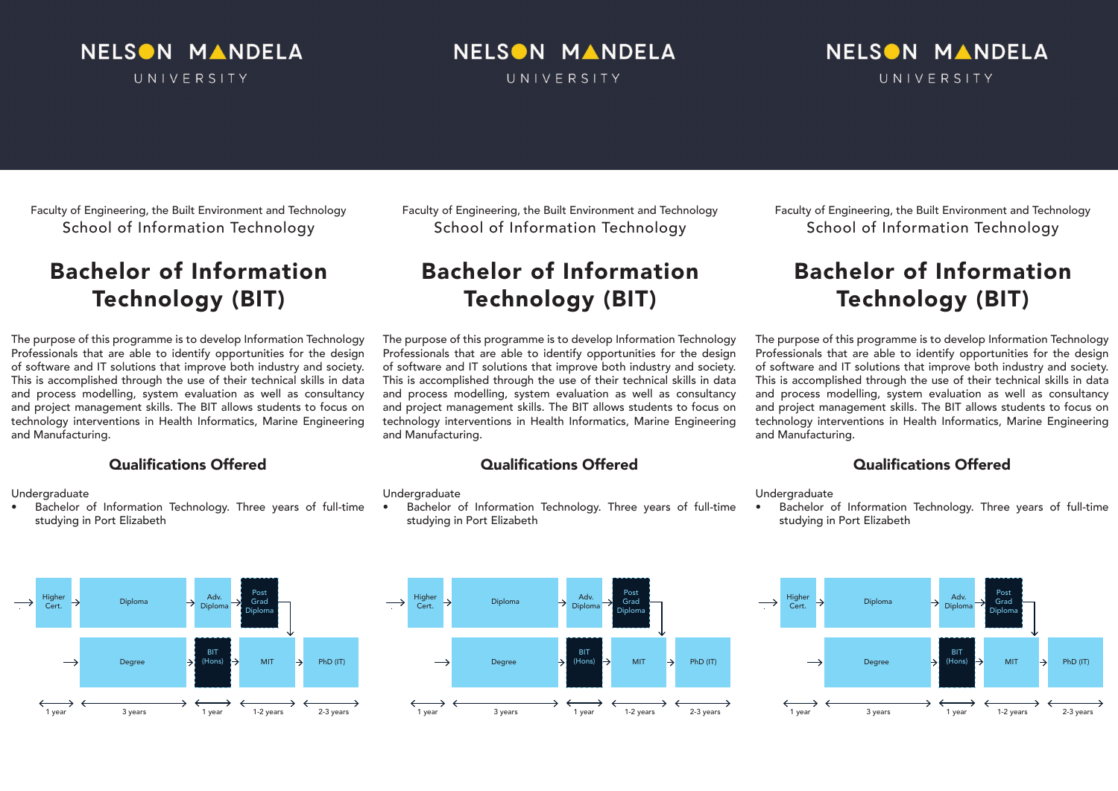### NELSON MANDELA UNIVERSITY

# NELSON MANDELA

UNIVERSITY

### NELSON MANDELA UNIVERSITY

Faculty of Engineering, the Built Environment and Technology School of Information Technology

## Bachelor of Information Technology (BIT)

The purpose of this programme is to develop Information Technology Professionals that are able to identify opportunities for the design of software and IT solutions that improve both industry and society. This is accomplished through the use of their technical skills in data and process modelling, system evaluation as well as consultancy and project management skills. The BIT allows students to focus on technology interventions in Health Informatics, Marine Engineering and Manufacturing.

#### Qualifications Offered

**Undergraduate** 

Bachelor of Information Technology. Three years of full-time studying in Port Elizabeth



Faculty of Engineering, the Built Environment and Technology School of Information Technology

## Bachelor of Information Technology (BIT)

The purpose of this programme is to develop Information Technology Professionals that are able to identify opportunities for the design of software and IT solutions that improve both industry and society. This is accomplished through the use of their technical skills in data and process modelling, system evaluation as well as consultancy and project management skills. The BIT allows students to focus on technology interventions in Health Informatics, Marine Engineering and Manufacturing.

#### Qualifications Offered

**Undergraduate** 

Bachelor of Information Technology. Three years of full-time studying in Port Elizabeth



## Bachelor of Information Technology (BIT)

The purpose of this programme is to develop Information Technology Professionals that are able to identify opportunities for the design of software and IT solutions that improve both industry and society. This is accomplished through the use of their technical skills in data and process modelling, system evaluation as well as consultancy and project management skills. The BIT allows students to focus on technology interventions in Health Informatics, Marine Engineering and Manufacturing.

### Qualifications Offered

**Undergraduate** 

Bachelor of Information Technology. Three years of full-time studying in Port Elizabeth